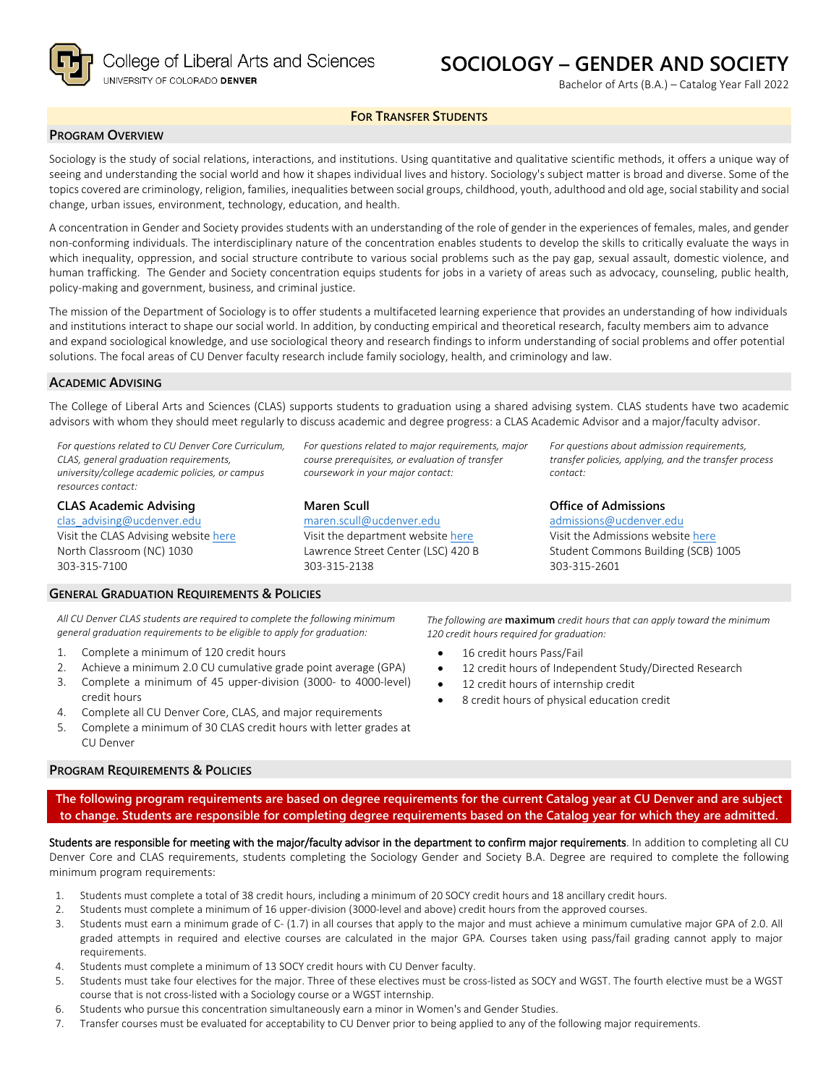

College of Liberal Arts and Sciences UNIVERSITY OF COLORADO DENVER

# **SOCIOLOGY – GENDER AND SOCIETY**

Bachelor of Arts (B.A.) – Catalog Year Fall 2022

### **FOR TRANSFER STUDENTS**

### **PROGRAM OVERVIEW**

Sociology is the study of social relations, interactions, and institutions. Using quantitative and qualitative scientific methods, it offers a unique way of seeing and understanding the social world and how it shapes individual lives and history. Sociology's subject matter is broad and diverse. Some of the topics covered are criminology, religion, families, inequalities between social groups, childhood, youth, adulthood and old age, social stability and social change, urban issues, environment, technology, education, and health.

A concentration in Gender and Society provides students with an understanding of the role of gender in the experiences of females, males, and gender non-conforming individuals. The interdisciplinary nature of the concentration enables students to develop the skills to critically evaluate the ways in which inequality, oppression, and social structure contribute to various social problems such as the pay gap, sexual assault, domestic violence, and human trafficking. The Gender and Society concentration equips students for jobs in a variety of areas such as advocacy, counseling, public health, policy-making and government, business, and criminal justice.

The mission of the Department of Sociology is to offer students a multifaceted learning experience that provides an understanding of how individuals and institutions interact to shape our social world. In addition, by conducting empirical and theoretical research, faculty members aim to advance and expand sociological knowledge, and use sociological theory and research findings to inform understanding of social problems and offer potential solutions. The focal areas of CU Denver faculty research include family sociology, health, and criminology and law.

#### **ACADEMIC ADVISING**

The College of Liberal Arts and Sciences (CLAS) supports students to graduation using a shared advising system. CLAS students have two academic advisors with whom they should meet regularly to discuss academic and degree progress: a CLAS Academic Advisor and a major/faculty advisor.

*For questions related to CU Denver Core Curriculum, CLAS, general graduation requirements, university/college academic policies, or campus resources contact:*

**CLAS Academic Advising** [clas\\_advising@ucdenver.edu](mailto:clas_advising@ucdenver.edu) Visit the CLAS Advising websit[e here](https://clas.ucdenver.edu/advising/) North Classroom (NC) 1030 303-315-7100

*For questions related to major requirements, major course prerequisites, or evaluation of transfer coursework in your major contact:*

### **Maren Scull**

[maren.scull@ucdenver.edu](mailto:maren.scull@ucdenver.edu)  Visit the department website [here](https://clas.ucdenver.edu/sociology/) Lawrence Street Center (LSC) 420 B 303-315-2138

*For questions about admission requirements, transfer policies, applying, and the transfer process contact:*

### **Office of Admissions**

*The following are* **maximum** *credit hours that can apply toward the minimum* 

12 credit hours of Independent Study/Directed Research

*120 credit hours required for graduation:*

16 credit hours Pass/Fail

12 credit hours of internship credit • 8 credit hours of physical education credit

[admissions@ucdenver.edu](mailto:admissions@ucdenver.edu) Visit the Admissions website [here](http://www.ucdenver.edu/admissions/Pages/index.aspx) Student Commons Building (SCB) 1005 303-315-2601

*All CU Denver CLAS students are required to complete the following minimum general graduation requirements to be eligible to apply for graduation:*

1. Complete a minimum of 120 credit hours

**GENERAL GRADUATION REQUIREMENTS & POLICIES**

- 2. Achieve a minimum 2.0 CU cumulative grade point average (GPA)
- 3. Complete a minimum of 45 upper-division (3000- to 4000-level) credit hours
- 4. Complete all CU Denver Core, CLAS, and major requirements
- 5. Complete a minimum of 30 CLAS credit hours with letter grades at CU Denver

#### **PROGRAM REQUIREMENTS & POLICIES**

**The following program requirements are based on degree requirements for the current Catalog year at CU Denver and are subject to change. Students are responsible for completing degree requirements based on the Catalog year for which they are admitted.**

Students are responsible for meeting with the major/faculty advisor in the department to confirm major requirements. In addition to completing all CU Denver Core and CLAS requirements, students completing the Sociology Gender and Society B.A. Degree are required to complete the following minimum program requirements:

- 1. Students must complete a total of 38 credit hours, including a minimum of 20 SOCY credit hours and 18 ancillary credit hours.
- 2. Students must complete a minimum of 16 upper-division (3000-level and above) credit hours from the approved courses.
- 3. Students must earn a minimum grade of C- (1.7) in all courses that apply to the major and must achieve a minimum cumulative major GPA of 2.0. All graded attempts in required and elective courses are calculated in the major GPA. Courses taken using pass/fail grading cannot apply to major requirements.
- 4. Students must complete a minimum of 13 SOCY credit hours with CU Denver faculty.
- 5. Students must take four electives for the major. Three of these electives must be cross-listed as SOCY and WGST. The fourth elective must be a WGST course that is not cross-listed with a Sociology course or a WGST internship.
- 6. Students who pursue this concentration simultaneously earn a minor in Women's and Gender Studies.
- 7. Transfer courses must be evaluated for acceptability to CU Denver prior to being applied to any of the following major requirements.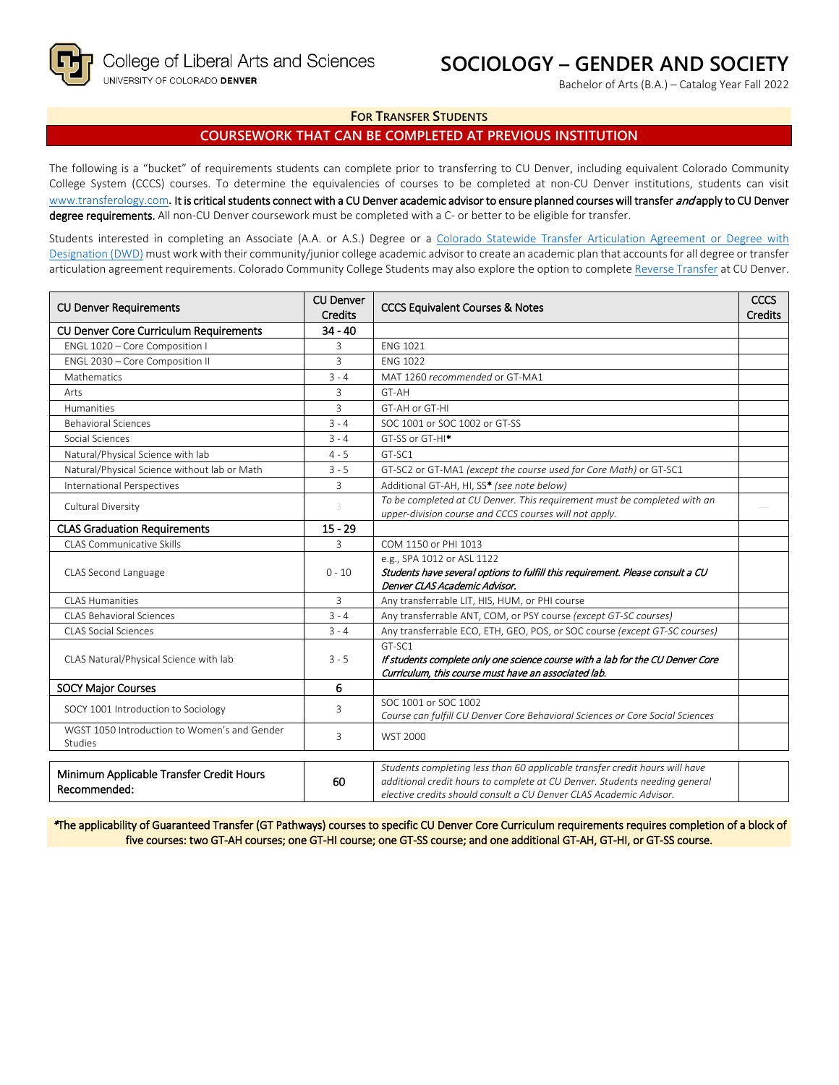## **SOCIOLOGY – GENDER AND SOCIETY**

Bachelor of Arts (B.A.) – Catalog Year Fall 2022

### **FOR TRANSFER STUDENTS**

### **COURSEWORK THAT CAN BE COMPLETED AT PREVIOUS INSTITUTION**

The following is a "bucket" of requirements students can complete prior to transferring to CU Denver, including equivalent Colorado Community College System (CCCS) courses. To determine the equivalencies of courses to be completed at non-CU Denver institutions, students can visit [www.transferology.com](http://www.transferology.com/)**.** It is critical students connect with a CU Denver academic advisor to ensure planned courses will transfer and apply to CU Denver degree requirements. All non-CU Denver coursework must be completed with a C- or better to be eligible for transfer.

Students interested in completing an Associate (A.A. or A.S.) Degree or a [Colorado Statewide Transfer Articulation Agreement or Degree with](https://highered.colorado.gov/transfer-degrees)  [Designation \(DWD\)](https://highered.colorado.gov/transfer-degrees) must work with their community/junior college academic advisor to create an academic plan that accounts for all degree or transfer articulation agreement requirements. Colorado Community College Students may also explore the option to complet[e Reverse Transfer](https://highered.colorado.gov/students/attending-college/colorado-reverse-transfer) at CU Denver.

| <b>CU Denver Requirements</b>                            | <b>CU Denver</b><br><b>Credits</b> | <b>CCCS Equivalent Courses &amp; Notes</b>                                                                                                                                                                                      |  |
|----------------------------------------------------------|------------------------------------|---------------------------------------------------------------------------------------------------------------------------------------------------------------------------------------------------------------------------------|--|
| CU Denver Core Curriculum Requirements                   | $34 - 40$                          |                                                                                                                                                                                                                                 |  |
| ENGL 1020 - Core Composition I                           | 3                                  | <b>ENG 1021</b>                                                                                                                                                                                                                 |  |
| ENGL 2030 - Core Composition II                          | 3                                  | <b>ENG 1022</b>                                                                                                                                                                                                                 |  |
| Mathematics                                              | $3 - 4$                            | MAT 1260 recommended or GT-MA1                                                                                                                                                                                                  |  |
| Arts                                                     | 3                                  | GT-AH                                                                                                                                                                                                                           |  |
| Humanities                                               | 3                                  | GT-AH or GT-HI                                                                                                                                                                                                                  |  |
| <b>Behavioral Sciences</b>                               | $3 - 4$                            | SOC 1001 or SOC 1002 or GT-SS                                                                                                                                                                                                   |  |
| Social Sciences                                          | $3 - 4$                            | GT-SS or GT-HI <sup>*</sup>                                                                                                                                                                                                     |  |
| Natural/Physical Science with lab                        | $4 - 5$                            | GT-SC1                                                                                                                                                                                                                          |  |
| Natural/Physical Science without lab or Math             | $3 - 5$                            | GT-SC2 or GT-MA1 (except the course used for Core Math) or GT-SC1                                                                                                                                                               |  |
| International Perspectives                               | 3                                  | Additional GT-AH, HI, SS* (see note below)                                                                                                                                                                                      |  |
| Cultural Diversity                                       | 3                                  | To be completed at CU Denver. This requirement must be completed with an<br>upper-division course and CCCS courses will not apply.                                                                                              |  |
| <b>CLAS Graduation Requirements</b>                      | $15 - 29$                          |                                                                                                                                                                                                                                 |  |
| <b>CLAS Communicative Skills</b>                         | 3                                  | COM 1150 or PHI 1013                                                                                                                                                                                                            |  |
| CLAS Second Language                                     | $0 - 10$                           | e.g., SPA 1012 or ASL 1122<br>Students have several options to fulfill this requirement. Please consult a CU<br>Denver CLAS Academic Advisor.                                                                                   |  |
| <b>CLAS Humanities</b>                                   | 3                                  | Any transferrable LIT, HIS, HUM, or PHI course                                                                                                                                                                                  |  |
| <b>CLAS Behavioral Sciences</b>                          | $3 - 4$                            | Any transferrable ANT, COM, or PSY course (except GT-SC courses)                                                                                                                                                                |  |
| <b>CLAS Social Sciences</b>                              | $3 - 4$                            | Any transferrable ECO, ETH, GEO, POS, or SOC course (except GT-SC courses)                                                                                                                                                      |  |
| CLAS Natural/Physical Science with lab                   | $3 - 5$                            | GT-SC1<br>If students complete only one science course with a lab for the CU Denver Core<br>Curriculum, this course must have an associated lab.                                                                                |  |
| <b>SOCY Major Courses</b>                                | 6                                  |                                                                                                                                                                                                                                 |  |
| SOCY 1001 Introduction to Sociology                      | 3                                  | SOC 1001 or SOC 1002<br>Course can fulfill CU Denver Core Behavioral Sciences or Core Social Sciences                                                                                                                           |  |
| WGST 1050 Introduction to Women's and Gender<br>Studies  | 3                                  | <b>WST 2000</b>                                                                                                                                                                                                                 |  |
| Minimum Applicable Transfer Credit Hours<br>Recommended: | 60                                 | Students completing less than 60 applicable transfer credit hours will have<br>additional credit hours to complete at CU Denver. Students needing general<br>elective credits should consult a CU Denver CLAS Academic Advisor. |  |

\*The applicability of Guaranteed Transfer (GT Pathways) courses to specific CU Denver Core Curriculum requirements requires completion of a block of five courses: two GT-AH courses; one GT-HI course; one GT-SS course; and one additional GT-AH, GT-HI, or GT-SS course.